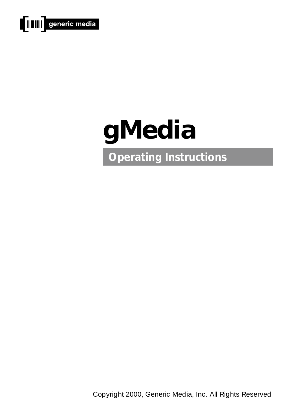



Copyright 2000, Generic Media, Inc. All Rights Reserved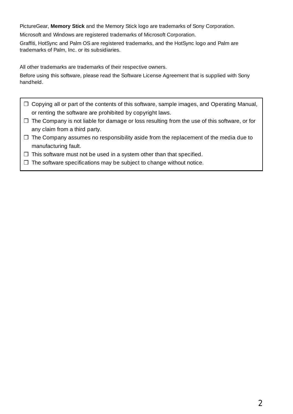PictureGear, **Memory Stick** and the Memory Stick logo are trademarks of Sony Corporation.

Microsoft and Windows are registered trademarks of Microsoft Corporation.

Graffiti, HotSync and Palm OS are registered trademarks, and the HotSync logo and Palm are trademarks of Palm, Inc. or its subsidiaries.

All other trademarks are trademarks of their respective owners.

Before using this software, please read the Software License Agreement that is supplied with Sony handheld.

- ❒ Copying all or part of the contents of this software, sample images, and Operating Manual, or renting the software are prohibited by copyright laws.
- ❒ The Company is not liable for damage or loss resulting from the use of this software, or for any claim from a third party.
- $\Box$  The Company assumes no responsibility aside from the replacement of the media due to manufacturing fault.
- ❒ This software must not be used in a system other than that specified.
- ❒ The software specifications may be subject to change without notice.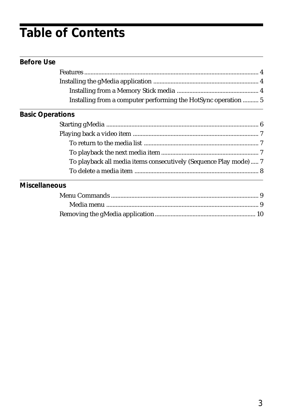## **Table of Contents**

| <b>Before Use</b>       |                                                                   |  |  |
|-------------------------|-------------------------------------------------------------------|--|--|
|                         |                                                                   |  |  |
|                         |                                                                   |  |  |
|                         |                                                                   |  |  |
|                         | Installing from a computer performing the HotSync operation  5    |  |  |
| <b>Basic Operations</b> |                                                                   |  |  |
|                         |                                                                   |  |  |
|                         |                                                                   |  |  |
|                         |                                                                   |  |  |
|                         |                                                                   |  |  |
|                         | To playback all media items consecutively (Sequence Play mode)  7 |  |  |
|                         |                                                                   |  |  |
| <b>Miscellaneous</b>    |                                                                   |  |  |
|                         |                                                                   |  |  |
|                         |                                                                   |  |  |
|                         |                                                                   |  |  |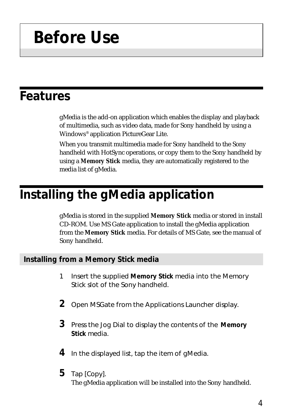# **Before Use**

### **Features**

gMedia is the add-on application which enables the display and playback of multimedia, such as video data, made for Sony handheld by using a Windows® application PictureGear Lite.

When you transmit multimedia made for Sony handheld to the Sony handheld with HotSync operations, or copy them to the Sony handheld by using a **Memory Stick** media, they are automatically registered to the media list of gMedia.

### **Installing the gMedia application**

gMedia is stored in the supplied **Memory Stick** media or stored in install CD-ROM. Use MS Gate application to install the gMedia application from the **Memory Stick** media. For details of MS Gate, see the manual of Sony handheld.

#### **Installing from a Memory Stick media**

- 1 Insert the supplied **Memory Stick** media into the Memory Stick slot of the Sony handheld.
- **2** Open MSGate from the Applications Launcher display.
- **3** Press the Jog Dial to display the contents of the **Memory Stick** media.
- **4** In the displayed list, tap the item of gMedia.
- **5** Tap [Copy].

The gMedia application will be installed into the Sony handheld.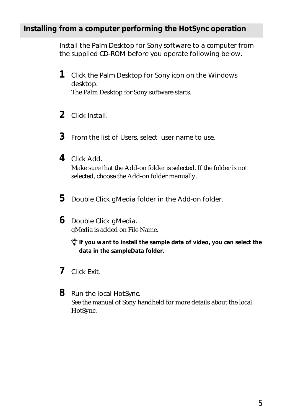#### **Installing from a computer performing the HotSync operation**

Install the Palm Desktop for Sony software to a computer from the supplied CD-ROM before you operate following below.

- **1** Click the Palm Desktop for Sony icon on the Windows desktop. The Palm Desktop for Sony software starts.
- **2** Click Install.
- **3** From the list of Users, select user name to use.
- **4** Click Add.

Make sure that the Add-on folder is selected. If the folder is not selected, choose the Add-on folder manually.

**5** Double Click gMedia folder in the Add-on folder.

**6** Double Click gMedia. gMedia is added on File Name.

> $\ddot{\mathbf{\hat{y}}}$  if you want to install the sample data of video, you can select the **data in the sampleData folder.**

- **7** Click Exit.
- **8** Run the local HotSync. See the manual of Sony handheld for more details about the local HotSync.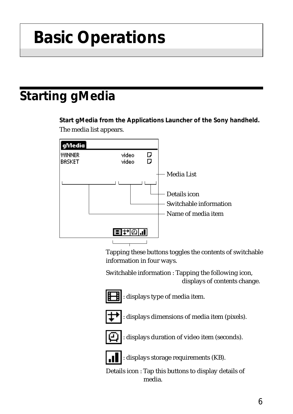# **Basic Operations**

## **Starting gMedia**

**Start gMedia from the Applications Launcher of the Sony handheld.** The media list appears.



Tapping these buttons toggles the contents of switchable information in four ways.

Switchable information : Tapping the following icon, displays of contents change.



: displays type of media item.



: displays dimensions of media item (pixels).



: displays duration of video item (seconds).



: displays storage requirements (KB).

Details icon : Tap this buttons to display details of media.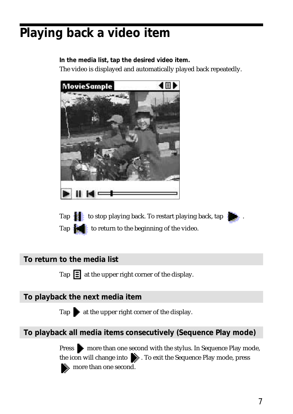## **Playing back a video item**

**In the media list, tap the desired video item.**

The video is displayed and automatically played back repeatedly.



Tap to stop playing back. To restart playing back, tap Tap **to return to the beginning of the video.** 

### **To return to the media list**

Tap  $\Xi$  at the upper right corner of the display.

### **To playback the next media item**

Tap  $\bullet$  at the upper right corner of the display.

### **To playback all media items consecutively (Sequence Play mode)**

**Press** more than one second with the stylus. In Sequence Play mode, the icon will change into  $\bullet$ . To exit the Sequence Play mode, press more than one second.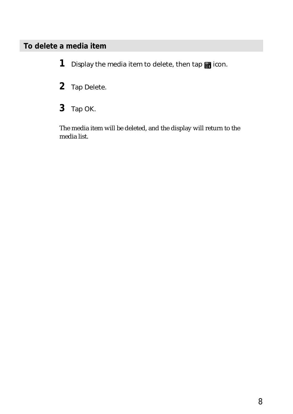### **To delete a media item**

1 Display the media item to delete, then tap **in** icon.

- **2** Tap Delete.
- **3** Tap OK.

The media item will be deleted, and the display will return to the media list.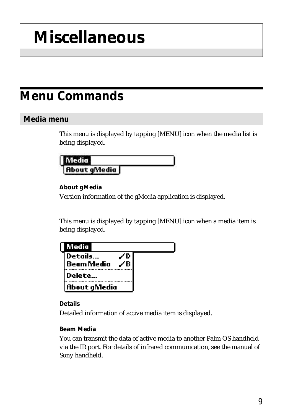# **Miscellaneous**

## **Menu Commands**

### **Media menu**

This menu is displayed by tapping [MENU] icon when the media list is being displayed.

| L<br> |  |
|-------|--|
| ıп    |  |

**About gMedia**

Version information of the gMedia application is displayed.

This menu is displayed by tapping [MENU] icon when a media item is being displayed.

| <b>Media</b>                 |  |
|------------------------------|--|
| Details<br><b>Beam Media</b> |  |
| Delete                       |  |
| <b>About gMedia</b>          |  |

#### **Details**

Detailed information of active media item is displayed.

#### **Beam Media**

You can transmit the data of active media to another Palm OS handheld via the IR port. For details of infrared communication, see the manual of Sony handheld.